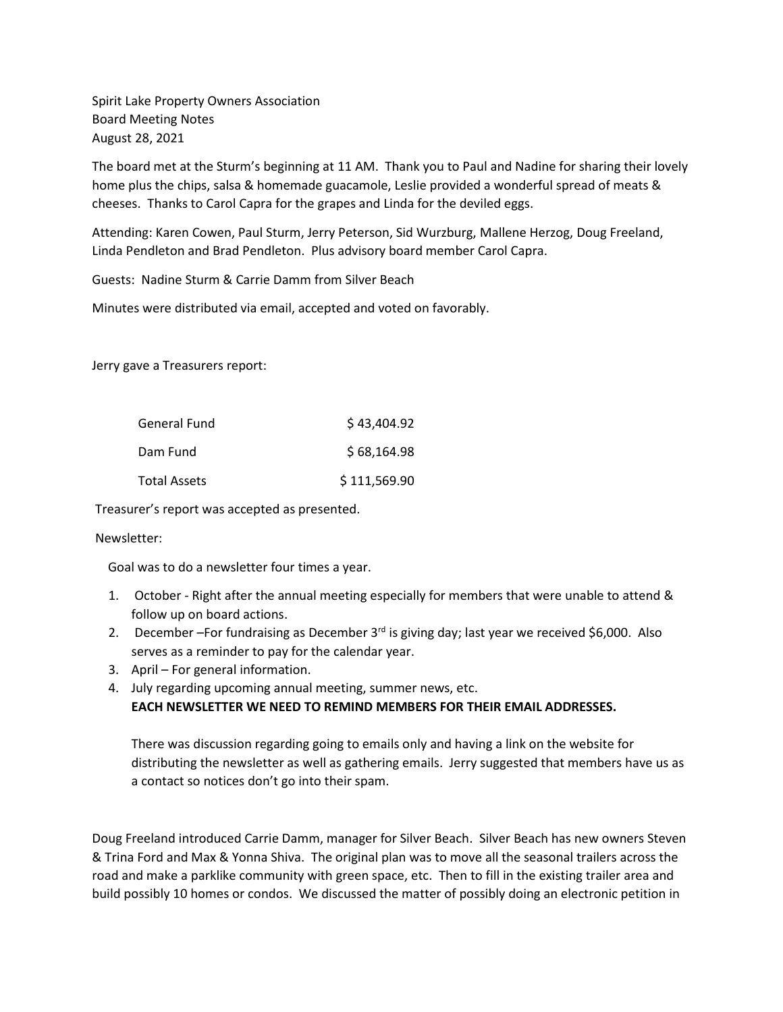Spirit Lake Property Owners Association Board Meeting Notes August 28, 2021

The board met at the Sturm's beginning at 11 AM. Thank you to Paul and Nadine for sharing their lovely home plus the chips, salsa & homemade guacamole, Leslie provided a wonderful spread of meats & cheeses. Thanks to Carol Capra for the grapes and Linda for the deviled eggs.

Attending: Karen Cowen, Paul Sturm, Jerry Peterson, Sid Wurzburg, Mallene Herzog, Doug Freeland, Linda Pendleton and Brad Pendleton. Plus advisory board member Carol Capra.

Guests: Nadine Sturm & Carrie Damm from Silver Beach

Minutes were distributed via email, accepted and voted on favorably.

Jerry gave a Treasurers report:

| General Fund | \$43,404.92  |
|--------------|--------------|
| Dam Fund     | \$68,164.98  |
| Total Assets | \$111,569.90 |

Treasurer's report was accepted as presented.

## Newsletter:

Goal was to do a newsletter four times a year.

- 1. October Right after the annual meeting especially for members that were unable to attend & follow up on board actions.
- 2. December For fundraising as December  $3^{rd}$  is giving day; last year we received \$6,000. Also serves as a reminder to pay for the calendar year.
- 3. April For general information.
- 4. July regarding upcoming annual meeting, summer news, etc. **EACH NEWSLETTER WE NEED TO REMIND MEMBERS FOR THEIR EMAIL ADDRESSES.**

There was discussion regarding going to emails only and having a link on the website for distributing the newsletter as well as gathering emails. Jerry suggested that members have us as a contact so notices don't go into their spam.

Doug Freeland introduced Carrie Damm, manager for Silver Beach. Silver Beach has new owners Steven & Trina Ford and Max & Yonna Shiva. The original plan was to move all the seasonal trailers across the road and make a parklike community with green space, etc. Then to fill in the existing trailer area and build possibly 10 homes or condos. We discussed the matter of possibly doing an electronic petition in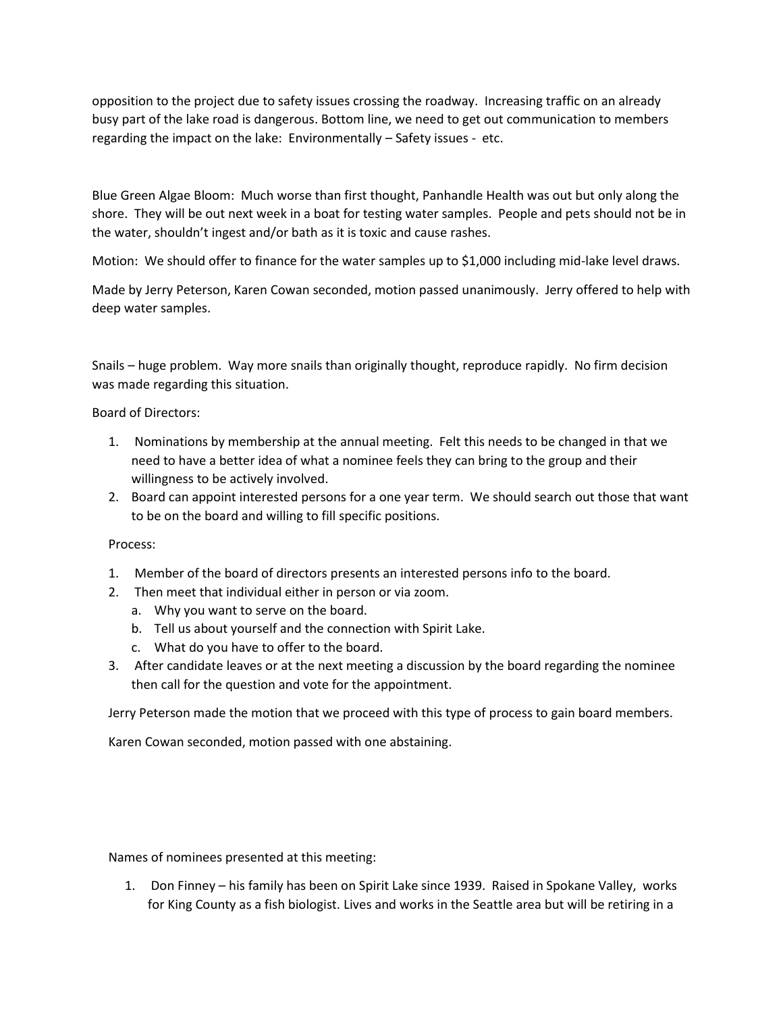opposition to the project due to safety issues crossing the roadway. Increasing traffic on an already busy part of the lake road is dangerous. Bottom line, we need to get out communication to members regarding the impact on the lake: Environmentally – Safety issues - etc.

Blue Green Algae Bloom: Much worse than first thought, Panhandle Health was out but only along the shore. They will be out next week in a boat for testing water samples. People and pets should not be in the water, shouldn't ingest and/or bath as it is toxic and cause rashes.

Motion: We should offer to finance for the water samples up to \$1,000 including mid-lake level draws.

Made by Jerry Peterson, Karen Cowan seconded, motion passed unanimously. Jerry offered to help with deep water samples.

Snails – huge problem. Way more snails than originally thought, reproduce rapidly. No firm decision was made regarding this situation.

Board of Directors:

- 1. Nominations by membership at the annual meeting. Felt this needs to be changed in that we need to have a better idea of what a nominee feels they can bring to the group and their willingness to be actively involved.
- 2. Board can appoint interested persons for a one year term. We should search out those that want to be on the board and willing to fill specific positions.

Process:

- 1. Member of the board of directors presents an interested persons info to the board.
- 2. Then meet that individual either in person or via zoom.
	- a. Why you want to serve on the board.
	- b. Tell us about yourself and the connection with Spirit Lake.
	- c. What do you have to offer to the board.
- 3. After candidate leaves or at the next meeting a discussion by the board regarding the nominee then call for the question and vote for the appointment.

Jerry Peterson made the motion that we proceed with this type of process to gain board members.

Karen Cowan seconded, motion passed with one abstaining.

Names of nominees presented at this meeting:

1. Don Finney – his family has been on Spirit Lake since 1939. Raised in Spokane Valley, works for King County as a fish biologist. Lives and works in the Seattle area but will be retiring in a